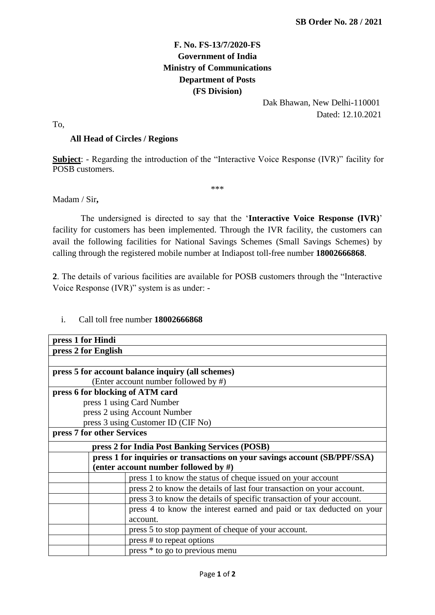## **F. No. FS-13/7/2020-FS Government of India Ministry of Communications Department of Posts (FS Division)**

 Dak Bhawan, New Delhi-110001 Dated: 12.10.2021

To,

## **All Head of Circles / Regions**

**Subject**: - Regarding the introduction of the "Interactive Voice Response (IVR)" facility for POSB customers.

\*\*\*

Madam / Sir**,**

 The undersigned is directed to say that the '**Interactive Voice Response (IVR)**' facility for customers has been implemented. Through the IVR facility, the customers can avail the following facilities for National Savings Schemes (Small Savings Schemes) by calling through the registered mobile number at Indiapost toll-free number **18002666868**.

**2**. The details of various facilities are available for POSB customers through the "Interactive Voice Response (IVR)" system is as under: -

## i. Call toll free number **18002666868**

| press 1 for Hindi                                                          |
|----------------------------------------------------------------------------|
| press 2 for English                                                        |
|                                                                            |
| press 5 for account balance inquiry (all schemes)                          |
| (Enter account number followed by #)                                       |
| press 6 for blocking of ATM card                                           |
| press 1 using Card Number                                                  |
| press 2 using Account Number                                               |
| press 3 using Customer ID (CIF No)                                         |
| press 7 for other Services                                                 |
| press 2 for India Post Banking Services (POSB)                             |
| press 1 for inquiries or transactions on your savings account (SB/PPF/SSA) |
| (enter account number followed by $#$ )                                    |
| press 1 to know the status of cheque issued on your account                |
| press 2 to know the details of last four transaction on your account.      |
| press 3 to know the details of specific transaction of your account.       |
| press 4 to know the interest earned and paid or tax deducted on your       |
| account.                                                                   |
| press 5 to stop payment of cheque of your account.                         |
| press # to repeat options                                                  |
| press <sup>*</sup> to go to previous menu                                  |